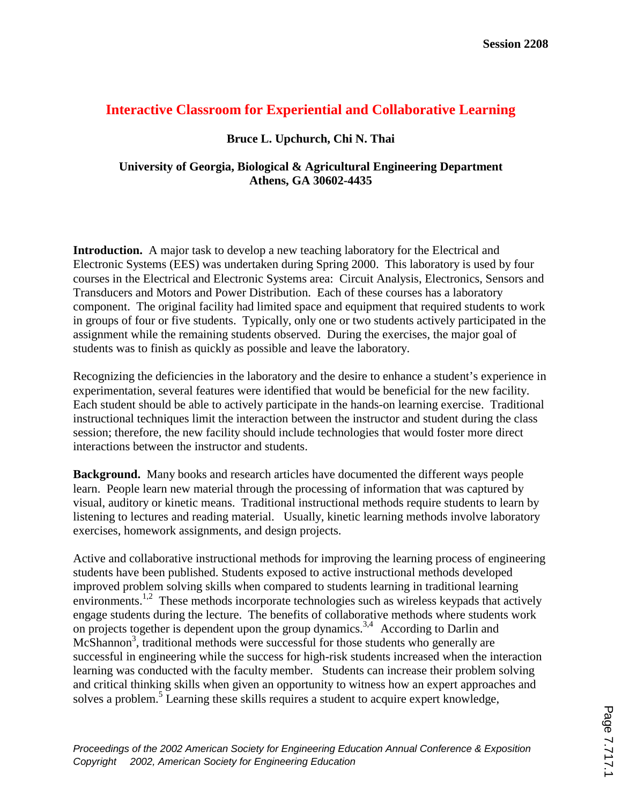# **Interactive Classroom for Experiential and Collaborative Learning**

## **Bruce L. Upchurch, Chi N. Thai**

## **University of Georgia, Biological & Agricultural Engineering Department Athens, GA 30602-4435**

**Introduction.** A major task to develop a new teaching laboratory for the Electrical and Electronic Systems (EES) was undertaken during Spring 2000. This laboratory is used by four courses in the Electrical and Electronic Systems area: Circuit Analysis, Electronics, Sensors and Transducers and Motors and Power Distribution. Each of these courses has a laboratory component. The original facility had limited space and equipment that required students to work in groups of four or five students. Typically, only one or two students actively participated in the assignment while the remaining students observed. During the exercises, the major goal of students was to finish as quickly as possible and leave the laboratory.

Recognizing the deficiencies in the laboratory and the desire to enhance a student's experience in experimentation, several features were identified that would be beneficial for the new facility. Each student should be able to actively participate in the hands-on learning exercise. Traditional instructional techniques limit the interaction between the instructor and student during the class session; therefore, the new facility should include technologies that would foster more direct interactions between the instructor and students.

**Background.** Many books and research articles have documented the different ways people learn. People learn new material through the processing of information that was captured by visual, auditory or kinetic means. Traditional instructional methods require students to learn by listening to lectures and reading material. Usually, kinetic learning methods involve laboratory exercises, homework assignments, and design projects.

Active and collaborative instructional methods for improving the learning process of engineering students have been published. Students exposed to active instructional methods developed improved problem solving skills when compared to students learning in traditional learning environments.<sup>1,2</sup> These methods incorporate technologies such as wireless keypads that actively engage students during the lecture. The benefits of collaborative methods where students work on projects together is dependent upon the group dynamics.<sup>3,4</sup> According to Darlin and McShannon<sup>3</sup>, traditional methods were successful for those students who generally are successful in engineering while the success for high-risk students increased when the interaction learning was conducted with the faculty member. Students can increase their problem solving and critical thinking skills when given an opportunity to witness how an expert approaches and solves a problem.<sup>5</sup> Learning these skills requires a student to acquire expert knowledge,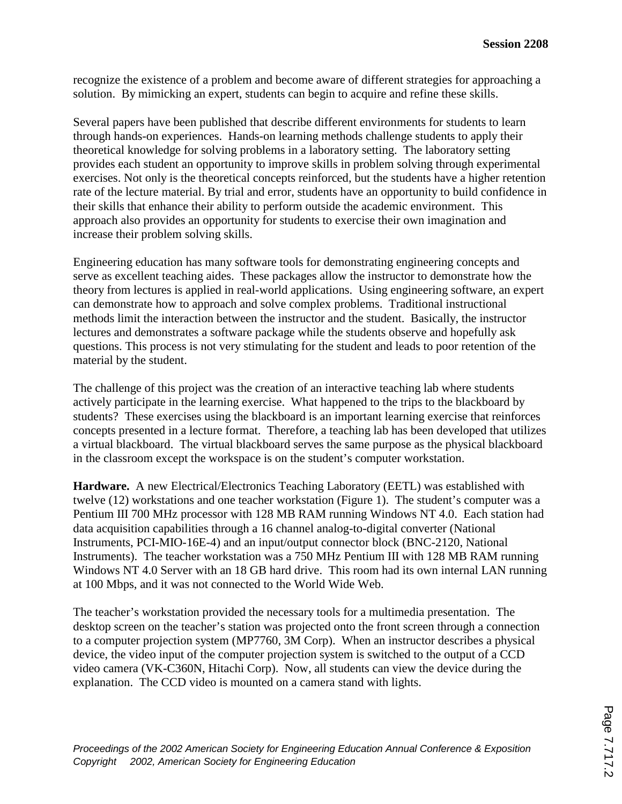recognize the existence of a problem and become aware of different strategies for approaching a solution. By mimicking an expert, students can begin to acquire and refine these skills.

Several papers have been published that describe different environments for students to learn through hands-on experiences. Hands-on learning methods challenge students to apply their theoretical knowledge for solving problems in a laboratory setting. The laboratory setting provides each student an opportunity to improve skills in problem solving through experimental exercises. Not only is the theoretical concepts reinforced, but the students have a higher retention rate of the lecture material. By trial and error, students have an opportunity to build confidence in their skills that enhance their ability to perform outside the academic environment. This approach also provides an opportunity for students to exercise their own imagination and increase their problem solving skills.

Engineering education has many software tools for demonstrating engineering concepts and serve as excellent teaching aides. These packages allow the instructor to demonstrate how the theory from lectures is applied in real-world applications. Using engineering software, an expert can demonstrate how to approach and solve complex problems. Traditional instructional methods limit the interaction between the instructor and the student. Basically, the instructor lectures and demonstrates a software package while the students observe and hopefully ask questions. This process is not very stimulating for the student and leads to poor retention of the material by the student.

The challenge of this project was the creation of an interactive teaching lab where students actively participate in the learning exercise. What happened to the trips to the blackboard by students? These exercises using the blackboard is an important learning exercise that reinforces concepts presented in a lecture format. Therefore, a teaching lab has been developed that utilizes a virtual blackboard. The virtual blackboard serves the same purpose as the physical blackboard in the classroom except the workspace is on the student's computer workstation.

**Hardware.** A new Electrical/Electronics Teaching Laboratory (EETL) was established with twelve (12) workstations and one teacher workstation (Figure 1). The student's computer was a Pentium III 700 MHz processor with 128 MB RAM running Windows NT 4.0. Each station had data acquisition capabilities through a 16 channel analog-to-digital converter (National Instruments, PCI-MIO-16E-4) and an input/output connector block (BNC-2120, National Instruments). The teacher workstation was a 750 MHz Pentium III with 128 MB RAM running Windows NT 4.0 Server with an 18 GB hard drive. This room had its own internal LAN running at 100 Mbps, and it was not connected to the World Wide Web.

The teacher's workstation provided the necessary tools for a multimedia presentation. The desktop screen on the teacher's station was projected onto the front screen through a connection to a computer projection system (MP7760, 3M Corp). When an instructor describes a physical device, the video input of the computer projection system is switched to the output of a CCD video camera (VK-C360N, Hitachi Corp). Now, all students can view the device during the explanation. The CCD video is mounted on a camera stand with lights.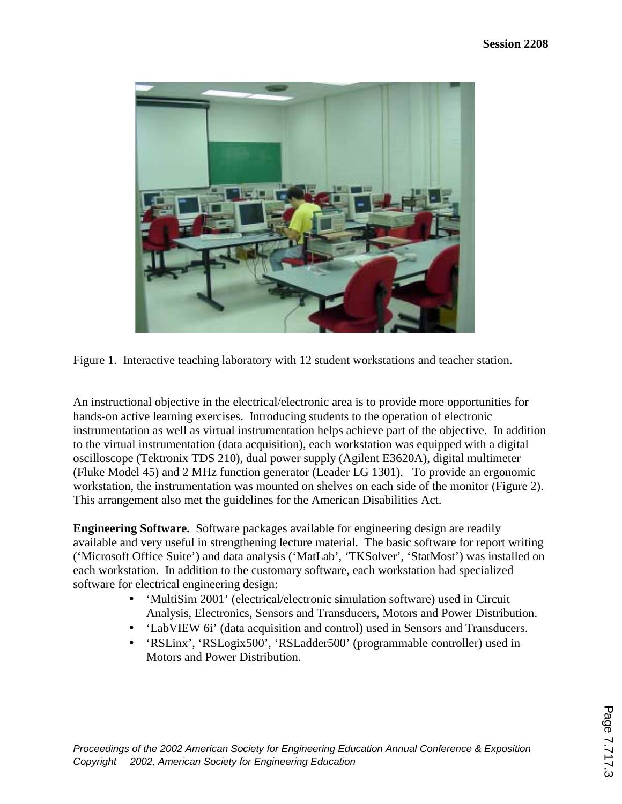

Figure 1. Interactive teaching laboratory with 12 student workstations and teacher station.

An instructional objective in the electrical/electronic area is to provide more opportunities for hands-on active learning exercises. Introducing students to the operation of electronic instrumentation as well as virtual instrumentation helps achieve part of the objective. In addition to the virtual instrumentation (data acquisition), each workstation was equipped with a digital oscilloscope (Tektronix TDS 210), dual power supply (Agilent E3620A), digital multimeter (Fluke Model 45) and 2 MHz function generator (Leader LG 1301). To provide an ergonomic workstation, the instrumentation was mounted on shelves on each side of the monitor (Figure 2). This arrangement also met the guidelines for the American Disabilities Act.

**Engineering Software.** Software packages available for engineering design are readily available and very useful in strengthening lecture material. The basic software for report writing ('Microsoft Office Suite') and data analysis ('MatLab', 'TKSolver', 'StatMost') was installed on each workstation. In addition to the customary software, each workstation had specialized software for electrical engineering design:

- 'MultiSim 2001' (electrical/electronic simulation software) used in Circuit Analysis, Electronics, Sensors and Transducers, Motors and Power Distribution.
- 'LabVIEW 6i' (data acquisition and control) used in Sensors and Transducers.
- 'RSLinx', 'RSLogix500', 'RSLadder500' (programmable controller) used in Motors and Power Distribution.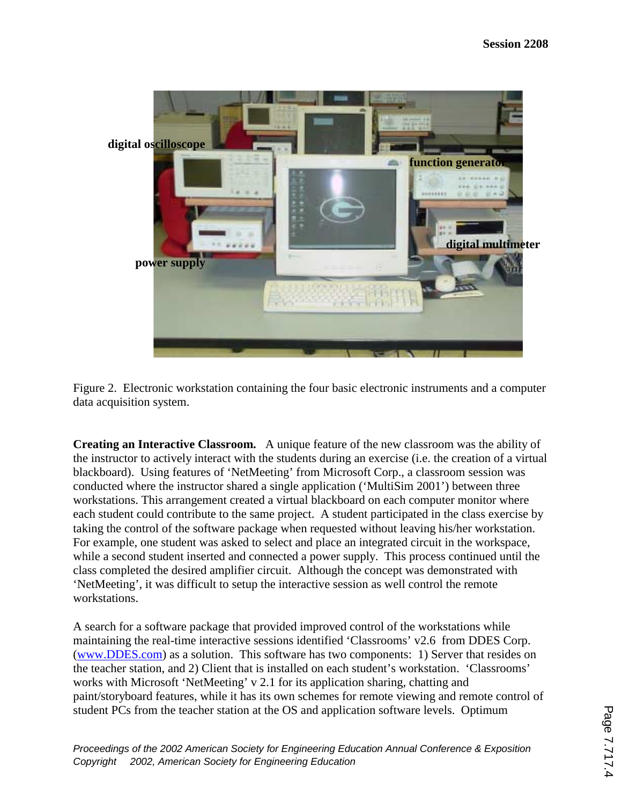

Figure 2. Electronic workstation containing the four basic electronic instruments and a computer data acquisition system.

**Creating an Interactive Classroom.** A unique feature of the new classroom was the ability of the instructor to actively interact with the students during an exercise (i.e. the creation of a virtual blackboard). Using features of 'NetMeeting' from Microsoft Corp., a classroom session was conducted where the instructor shared a single application ('MultiSim 2001') between three workstations. This arrangement created a virtual blackboard on each computer monitor where each student could contribute to the same project. A student participated in the class exercise by taking the control of the software package when requested without leaving his/her workstation. For example, one student was asked to select and place an integrated circuit in the workspace, while a second student inserted and connected a power supply. This process continued until the class completed the desired amplifier circuit. Although the concept was demonstrated with 'NetMeeting', it was difficult to setup the interactive session as well control the remote workstations.

A search for a software package that provided improved control of the workstations while maintaining the real-time interactive sessions identified 'Classrooms' v2.6 from DDES Corp. (www.DDES.com) as a solution. This software has two components: 1) Server that resides on the teacher station, and 2) Client that is installed on each student's workstation. 'Classrooms' works with Microsoft 'NetMeeting' v 2.1 for its application sharing, chatting and paint/storyboard features, while it has its own schemes for remote viewing and remote control of student PCs from the teacher station at the OS and application software levels. Optimum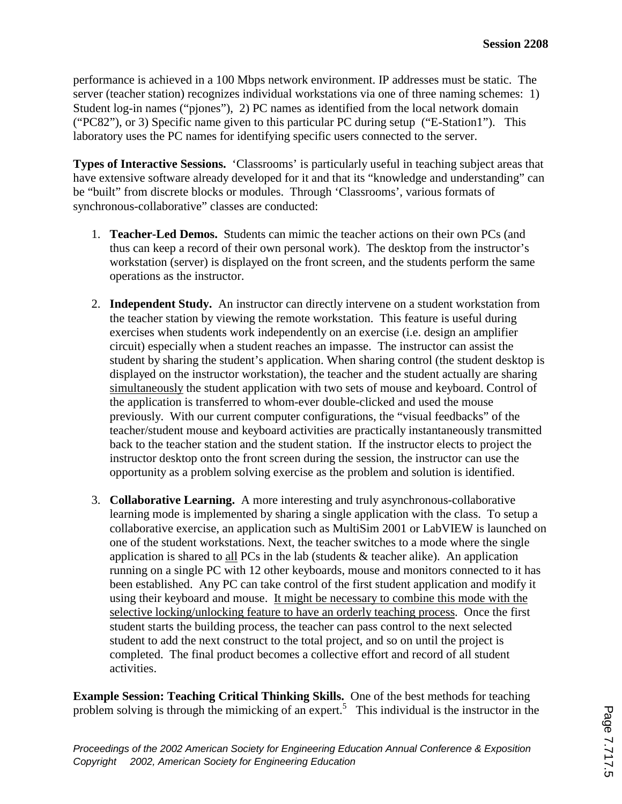performance is achieved in a 100 Mbps network environment. IP addresses must be static. The server (teacher station) recognizes individual workstations via one of three naming schemes: 1) Student log-in names ("pjones"), 2) PC names as identified from the local network domain ("PC82"), or 3) Specific name given to this particular PC during setup ("E-Station1"). This laboratory uses the PC names for identifying specific users connected to the server.

**Types of Interactive Sessions.** 'Classrooms' is particularly useful in teaching subject areas that have extensive software already developed for it and that its "knowledge and understanding" can be "built" from discrete blocks or modules. Through 'Classrooms', various formats of synchronous-collaborative" classes are conducted:

- 1. **Teacher-Led Demos.** Students can mimic the teacher actions on their own PCs (and thus can keep a record of their own personal work). The desktop from the instructor's workstation (server) is displayed on the front screen, and the students perform the same operations as the instructor.
- 2. **Independent Study.** An instructor can directly intervene on a student workstation from the teacher station by viewing the remote workstation. This feature is useful during exercises when students work independently on an exercise (i.e. design an amplifier circuit) especially when a student reaches an impasse. The instructor can assist the student by sharing the student's application. When sharing control (the student desktop is displayed on the instructor workstation), the teacher and the student actually are sharing simultaneously the student application with two sets of mouse and keyboard. Control of the application is transferred to whom-ever double-clicked and used the mouse previously. With our current computer configurations, the "visual feedbacks" of the teacher/student mouse and keyboard activities are practically instantaneously transmitted back to the teacher station and the student station. If the instructor elects to project the instructor desktop onto the front screen during the session, the instructor can use the opportunity as a problem solving exercise as the problem and solution is identified.
- 3. **Collaborative Learning.** A more interesting and truly asynchronous-collaborative learning mode is implemented by sharing a single application with the class. To setup a collaborative exercise, an application such as MultiSim 2001 or LabVIEW is launched on one of the student workstations. Next, the teacher switches to a mode where the single application is shared to all PCs in the lab (students  $\&$  teacher alike). An application running on a single PC with 12 other keyboards, mouse and monitors connected to it has been established. Any PC can take control of the first student application and modify it using their keyboard and mouse. It might be necessary to combine this mode with the selective locking/unlocking feature to have an orderly teaching process. Once the first student starts the building process, the teacher can pass control to the next selected student to add the next construct to the total project, and so on until the project is completed. The final product becomes a collective effort and record of all student activities.

**Example Session: Teaching Critical Thinking Skills.** One of the best methods for teaching problem solving is through the mimicking of an expert.<sup>5</sup> This individual is the instructor in the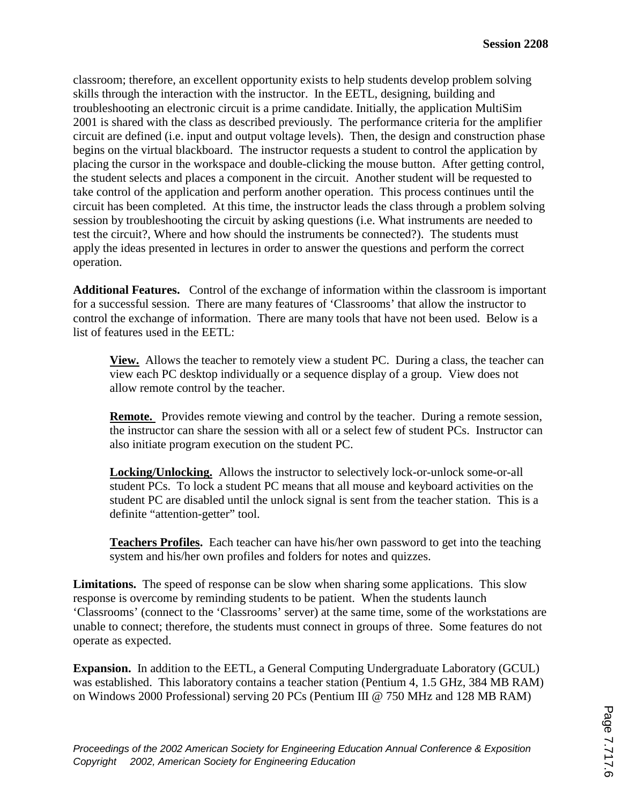classroom; therefore, an excellent opportunity exists to help students develop problem solving skills through the interaction with the instructor. In the EETL, designing, building and troubleshooting an electronic circuit is a prime candidate. Initially, the application MultiSim 2001 is shared with the class as described previously. The performance criteria for the amplifier circuit are defined (i.e. input and output voltage levels). Then, the design and construction phase begins on the virtual blackboard. The instructor requests a student to control the application by placing the cursor in the workspace and double-clicking the mouse button. After getting control, the student selects and places a component in the circuit. Another student will be requested to take control of the application and perform another operation. This process continues until the circuit has been completed. At this time, the instructor leads the class through a problem solving session by troubleshooting the circuit by asking questions (i.e. What instruments are needed to test the circuit?, Where and how should the instruments be connected?). The students must apply the ideas presented in lectures in order to answer the questions and perform the correct operation.

**Additional Features.** Control of the exchange of information within the classroom is important for a successful session. There are many features of 'Classrooms' that allow the instructor to control the exchange of information. There are many tools that have not been used. Below is a list of features used in the EETL:

**View.** Allows the teacher to remotely view a student PC. During a class, the teacher can view each PC desktop individually or a sequence display of a group. View does not allow remote control by the teacher.

**Remote.** Provides remote viewing and control by the teacher. During a remote session, the instructor can share the session with all or a select few of student PCs. Instructor can also initiate program execution on the student PC.

**Locking/Unlocking.** Allows the instructor to selectively lock-or-unlock some-or-all student PCs. To lock a student PC means that all mouse and keyboard activities on the student PC are disabled until the unlock signal is sent from the teacher station. This is a definite "attention-getter" tool.

**Teachers Profiles.** Each teacher can have his/her own password to get into the teaching system and his/her own profiles and folders for notes and quizzes.

**Limitations.** The speed of response can be slow when sharing some applications. This slow response is overcome by reminding students to be patient. When the students launch 'Classrooms' (connect to the 'Classrooms' server) at the same time, some of the workstations are unable to connect; therefore, the students must connect in groups of three. Some features do not operate as expected.

**Expansion.** In addition to the EETL, a General Computing Undergraduate Laboratory (GCUL) was established. This laboratory contains a teacher station (Pentium 4, 1.5 GHz, 384 MB RAM) on Windows 2000 Professional) serving 20 PCs (Pentium III @ 750 MHz and 128 MB RAM)